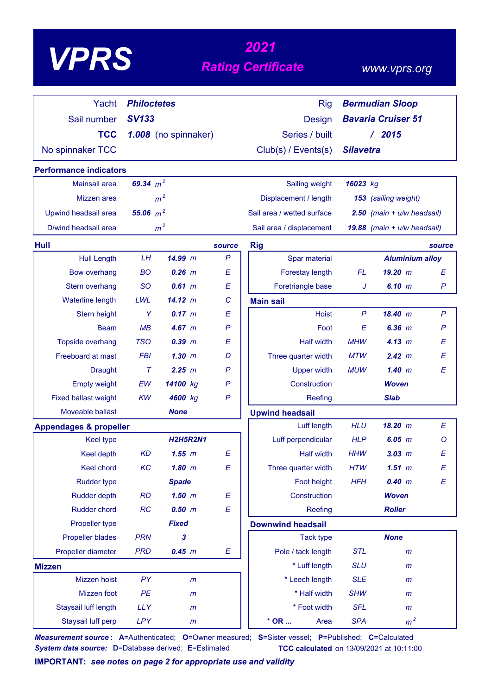# *<sup>2021</sup> VPRS Rating Certificate*

### *www.vprs.org*

| Yacht                             | <b>Philoctetes</b> |                      |                  | <b>Rig</b>                     |                           | <b>Bermudian Sloop</b>      |  |
|-----------------------------------|--------------------|----------------------|------------------|--------------------------------|---------------------------|-----------------------------|--|
| Sail number                       | <b>SV133</b>       |                      |                  | <b>Design</b>                  | <b>Bavaria Cruiser 51</b> |                             |  |
| <b>TCC</b>                        |                    | 1.008 (no spinnaker) |                  | Series / built                 |                           | /2015                       |  |
| No spinnaker TCC                  |                    |                      |                  | Club(s) / Events(s)            | <b>Silavetra</b>          |                             |  |
|                                   |                    |                      |                  |                                |                           |                             |  |
| <b>Performance indicators</b>     |                    |                      |                  |                                |                           |                             |  |
| <b>Mainsail area</b>              | 69.34 $m^2$        |                      |                  | Sailing weight                 | 16023 kg                  |                             |  |
| Mizzen area                       |                    | m <sup>2</sup>       |                  | Displacement / length          |                           | 153 (sailing weight)        |  |
| Upwind headsail area              | 55.06 $m^2$        |                      |                  | Sail area / wetted surface     |                           | 2.50 (main + u/w headsail)  |  |
| D/wind headsail area              |                    | m <sup>2</sup>       |                  | Sail area / displacement       |                           | 19.88 (main + u/w headsail) |  |
| Hull                              |                    |                      | source           | <b>Rig</b>                     |                           | source                      |  |
| <b>Hull Length</b>                | LH                 | 14.99 m              | $\mathsf{P}$     | Spar material                  |                           | <b>Aluminium alloy</b>      |  |
| <b>Bow overhang</b>               | <b>BO</b>          | $0.26$ $m$           | E                | Forestay length                | FL                        | 19.20~m<br>E                |  |
| Stern overhang                    | <b>SO</b>          | $0.61$ m             | E                | Foretriangle base              | J                         | 6.10 m<br>$\mathsf{P}$      |  |
| Waterline length                  | LWL                | 14.12 m              | C                | <b>Main sail</b>               |                           |                             |  |
| Stern height                      | Y                  | 0.17 m               | E                | <b>Hoist</b>                   | $\mathsf{P}$              | 18.40 m<br>$\mathsf{P}$     |  |
| <b>Beam</b>                       | MB                 | 4.67 m               | $\mathsf{P}$     | Foot                           | E                         | $6.36$ $m$<br>$\mathsf{P}$  |  |
| Topside overhang                  | <b>TSO</b>         | $0.39$ $m$           | E                | <b>Half width</b>              | <b>MHW</b>                | E<br>4.13 m                 |  |
| <b>Freeboard at mast</b>          | <b>FBI</b>         | 1.30~m               | D                | Three quarter width            | <b>MTW</b>                | E<br>2.42 m                 |  |
| <b>Draught</b>                    | $\tau$             | 2.25 m               | P                | <b>Upper width</b>             | <b>MUW</b>                | E<br>1.40~m                 |  |
| <b>Empty weight</b>               | EW                 | 14100 kg             | $\mathsf{P}$     | Construction                   |                           | <b>Woven</b>                |  |
| <b>Fixed ballast weight</b>       | <b>KW</b>          | 4600 kg              | $\mathsf{P}$     | Reefing                        |                           | <b>Slab</b>                 |  |
| Moveable ballast                  |                    | <b>None</b>          |                  | <b>Upwind headsail</b>         |                           |                             |  |
| <b>Appendages &amp; propeller</b> |                    |                      |                  | Luff length                    | <b>HLU</b>                | 18.20 m<br>E                |  |
| <b>Keel type</b>                  |                    | <b>H2H5R2N1</b>      |                  | Luff perpendicular             | <b>HLP</b>                | 6.05 m<br>O                 |  |
| Keel depth                        | <b>KD</b>          | 1.55~m               | E                | <b>Half width</b>              | <b>HHW</b>                | $3.03$ $m$<br>E             |  |
| Keel chord                        | KC                 | $1.80$ m             | E                | Three quarter width            | <b>HTW</b>                | $1.51$ m<br>E               |  |
| <b>Rudder type</b>                |                    | <b>Spade</b>         |                  | Foot height                    | <b>HFH</b>                | 0.40 m<br>E                 |  |
| <b>Rudder depth</b>               | RD                 | $1.50$ m             | $\boldsymbol{E}$ | Construction                   |                           | <b>Woven</b>                |  |
| Rudder chord                      | RC                 | 0.50 m               | $\boldsymbol{E}$ | Reefing                        |                           | <b>Roller</b>               |  |
| Propeller type                    |                    | <b>Fixed</b>         |                  | <b>Downwind headsail</b>       |                           |                             |  |
| <b>Propeller blades</b>           | <b>PRN</b>         | 3                    |                  | <b>Tack type</b>               |                           | <b>None</b>                 |  |
| Propeller diameter                | <b>PRD</b>         | 0.45 m               | E                | Pole / tack length             | <b>STL</b>                | $\mathsf{m}$                |  |
| <b>Mizzen</b>                     |                    |                      |                  | * Luff length                  | <b>SLU</b>                | $\mathsf{m}$                |  |
| Mizzen hoist                      | PY                 | $\mathsf{m}$         |                  | * Leech length                 | <b>SLE</b>                | $\mathsf{m}$                |  |
| Mizzen foot                       | PE                 | $\mathsf{m}$         |                  | * Half width                   | <b>SHW</b>                | $\mathsf{m}$                |  |
| Staysail luff length              | <b>LLY</b>         | m                    |                  | * Foot width                   | <b>SFL</b>                | $\mathsf{m}$                |  |
| Staysail luff perp                | LPY                | m                    |                  | $^{\star}$ OR $\ldots$<br>Area | <b>SPA</b>                | m <sup>2</sup>              |  |

*Measurement source* **: A**=Authenticated; **O**=Owner measured; **S**=Sister vessel; **P**=Published; **C**=Calculated *System data source:* **D**=Database derived; **E**=Estimated **TCC calculated** on 13/09/2021 at 10:11:00

**IMPORTANT:** *see notes on page 2 for appropriate use and validity*